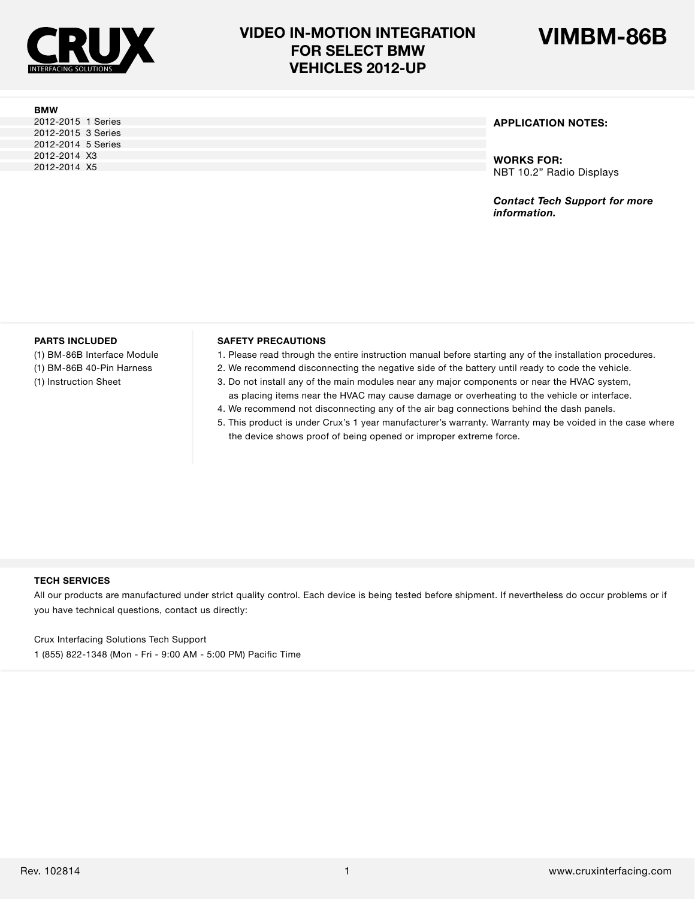

2012-2015 1 Series 2012-2015 3 Series 2012-2014 5 Series 2012-2014 X3 2012-2014 X5

**BMW**

## **VIDEO IN-MOTION INTEGRATION VIMBM-86B FOR SELECT BMW VEHICLES 2012-UP**



### **APPLICATION NOTES:**

**WORKS FOR:** NBT 10.2" Radio Displays

*Contact Tech Support for more information.*

#### **PARTS INCLUDED**

(1) BM-86B Interface Module (1) BM-86B 40-Pin Harness

(1) Instruction Sheet

#### **SAFETY PRECAUTIONS**

- 1. Please read through the entire instruction manual before starting any of the installation procedures.
- 2. We recommend disconnecting the negative side of the battery until ready to code the vehicle.
- 3. Do not install any of the main modules near any major components or near the HVAC system, as placing items near the HVAC may cause damage or overheating to the vehicle or interface.
- 4. We recommend not disconnecting any of the air bag connections behind the dash panels.
- 5. This product is under Crux's 1 year manufacturer's warranty. Warranty may be voided in the case where the device shows proof of being opened or improper extreme force.

#### **TECH SERVICES**

All our products are manufactured under strict quality control. Each device is being tested before shipment. If nevertheless do occur problems or if you have technical questions, contact us directly:

Crux Interfacing Solutions Tech Support

1 (855) 822-1348 (Mon - Fri - 9:00 AM - 5:00 PM) Pacific Time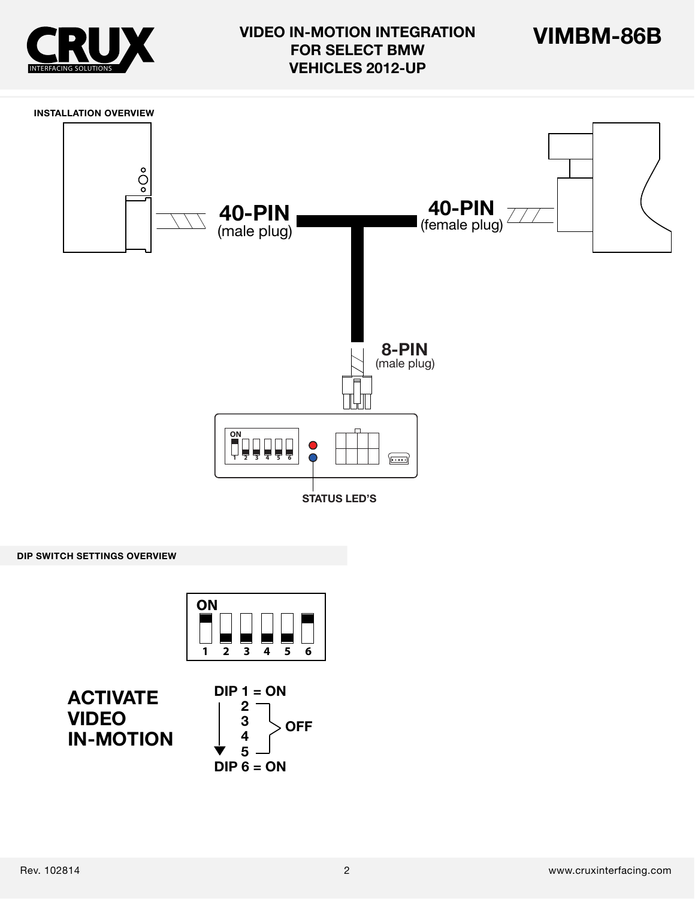





**DIP SWITCH SETTINGS OVERVIEW**





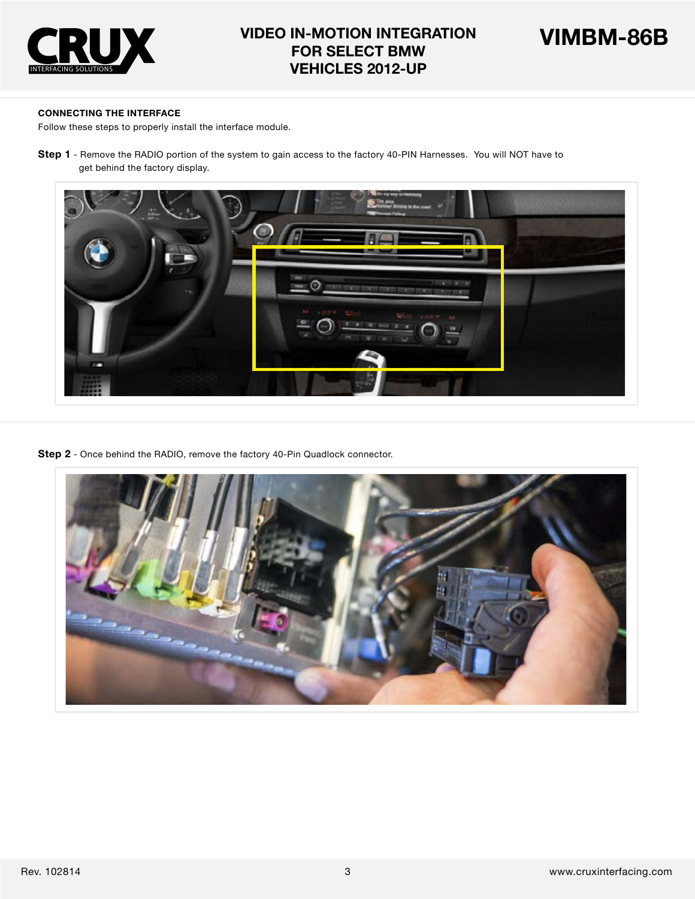

### **CONNECTING THE INTERFACE**

Follow these steps to properly install the interface module.

**Step 1** - Remove the RADIO portion of the system to gain access to the factory 40-PIN Harnesses. You will NOT have to get behind the factory display.



**Step 2** - Once behind the RADIO, remove the factory 40-Pin Quadlock connector.

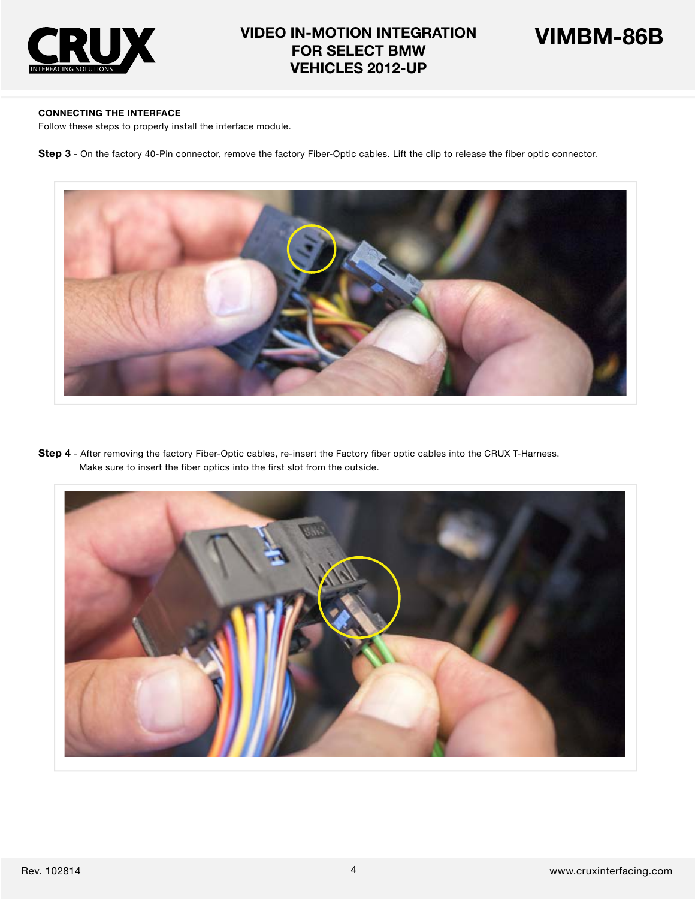



### **CONNECTING THE INTERFACE**

Follow these steps to properly install the interface module.

**Step 3** - On the factory 40-Pin connector, remove the factory Fiber-Optic cables. Lift the clip to release the fiber optic connector.



**Step 4** - After removing the factory Fiber-Optic cables, re-insert the Factory fiber optic cables into the CRUX T-Harness. Make sure to insert the fiber optics into the first slot from the outside.

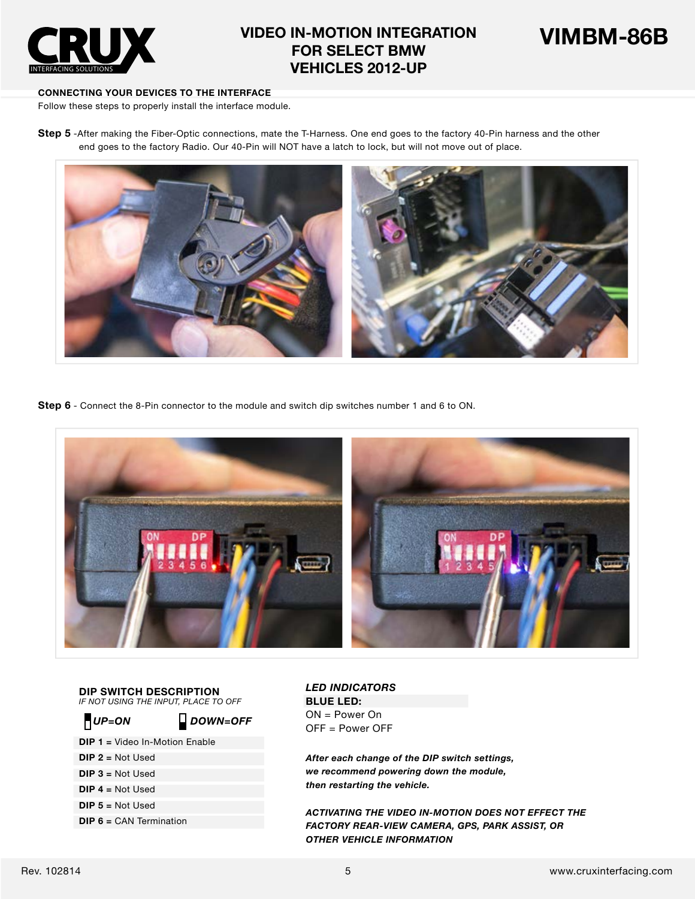



### **CONNECTING YOUR DEVICES TO THE INTERFACE**

Follow these steps to properly install the interface module.

**Step 5** -After making the Fiber-Optic connections, mate the T-Harness. One end goes to the factory 40-Pin harness and the other end goes to the factory Radio. Our 40-Pin will NOT have a latch to lock, but will not move out of place.



**Step 6** - Connect the 8-Pin connector to the module and switch dip switches number 1 and 6 to ON.



**DIP SWITCH DESCRIPTION** *IF NOT USING THE INPUT, PLACE TO OFF*

- **DIP 1 =** Video In-Motion Enable
- **DIP 2 =** Not Used
- **DIP 3 =** Not Used
- **DIP 4 =** Not Used
- **DIP 5 =** Not Used
- **DIP 6 = CAN Termination**

*LED INDICATORS* **BLUE LED:**  ON = Power On **OFF** UP=ON **DOWN=OFF** UN = Power OFF<br>OFF = Power OFF

> *After each change of the DIP switch settings, we recommend powering down the module, then restarting the vehicle.*

*ACTIVATING THE VIDEO IN-MOTION DOES NOT EFFECT THE FACTORY REAR-VIEW CAMERA, GPS, PARK ASSIST, OR OTHER VEHICLE INFORMATION*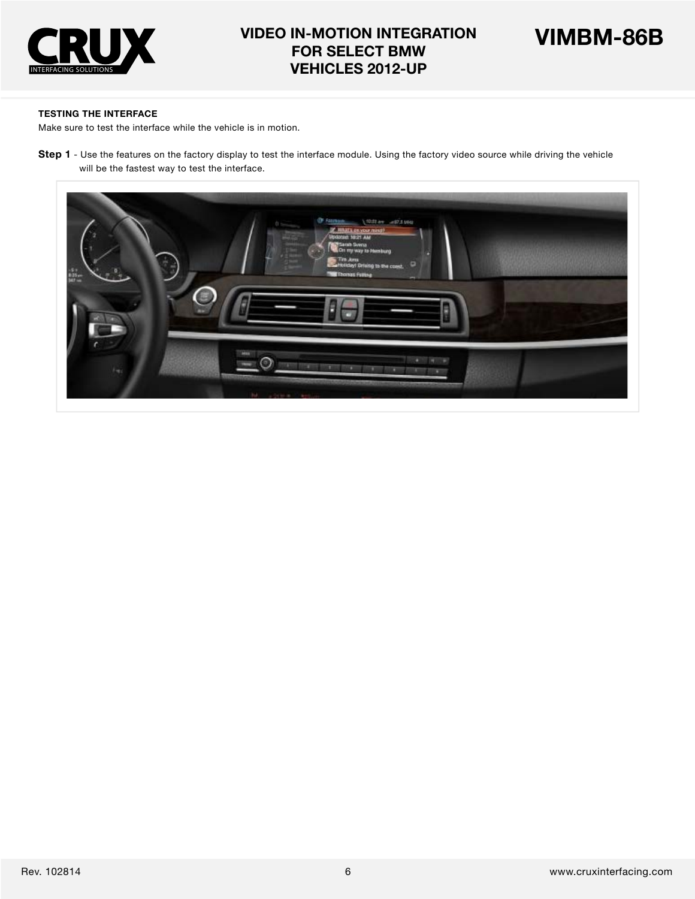



#### **TESTING THE INTERFACE**

Make sure to test the interface while the vehicle is in motion.

**Step 1** - Use the features on the factory display to test the interface module. Using the factory video source while driving the vehicle will be the fastest way to test the interface.